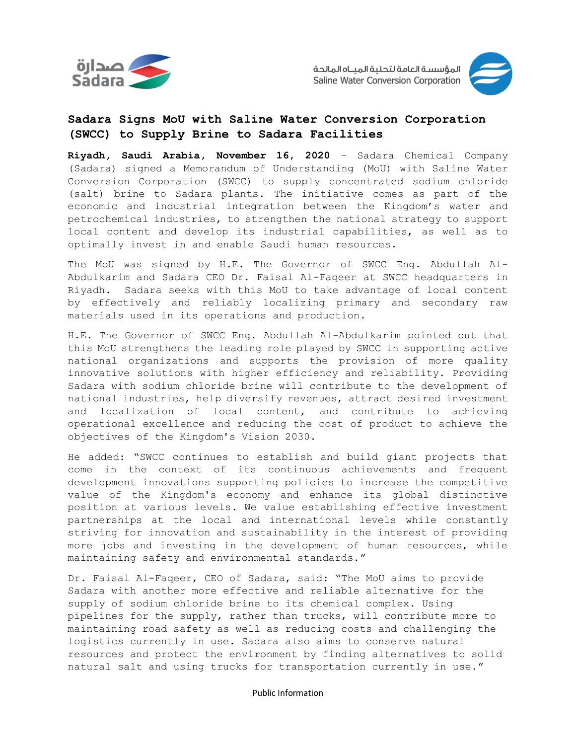



# **Sadara Signs MoU with Saline Water Conversion Corporation (SWCC) to Supply Brine to Sadara Facilities**

**Riyadh, Saudi Arabia, November 16, 2020** – Sadara Chemical Company (Sadara) signed a Memorandum of Understanding (MoU) with Saline Water Conversion Corporation (SWCC) to supply concentrated sodium chloride (salt) brine to Sadara plants. The initiative comes as part of the economic and industrial integration between the Kingdom's water and petrochemical industries, to strengthen the national strategy to support local content and develop its industrial capabilities, as well as to optimally invest in and enable Saudi human resources.

The MoU was signed by H.E. The Governor of SWCC Eng. Abdullah Al-Abdulkarim and Sadara CEO Dr. Faisal Al-Faqeer at SWCC headquarters in Riyadh. Sadara seeks with this MoU to take advantage of local content by effectively and reliably localizing primary and secondary raw materials used in its operations and production.

H.E. The Governor of SWCC Eng. Abdullah Al-Abdulkarim pointed out that this MoU strengthens the leading role played by SWCC in supporting active national organizations and supports the provision of more quality innovative solutions with higher efficiency and reliability. Providing Sadara with sodium chloride brine will contribute to the development of national industries, help diversify revenues, attract desired investment and localization of local content, and contribute to achieving operational excellence and reducing the cost of product to achieve the objectives of the Kingdom's Vision 2030.

He added: "SWCC continues to establish and build giant projects that come in the context of its continuous achievements and frequent development innovations supporting policies to increase the competitive value of the Kingdom's economy and enhance its global distinctive position at various levels. We value establishing effective investment partnerships at the local and international levels while constantly striving for innovation and sustainability in the interest of providing more jobs and investing in the development of human resources, while maintaining safety and environmental standards."

Dr. Faisal Al-Faqeer, CEO of Sadara, said: "The MoU aims to provide Sadara with another more effective and reliable alternative for the supply of sodium chloride brine to its chemical complex. Using pipelines for the supply, rather than trucks, will contribute more to maintaining road safety as well as reducing costs and challenging the logistics currently in use. Sadara also aims to conserve natural resources and protect the environment by finding alternatives to solid natural salt and using trucks for transportation currently in use."